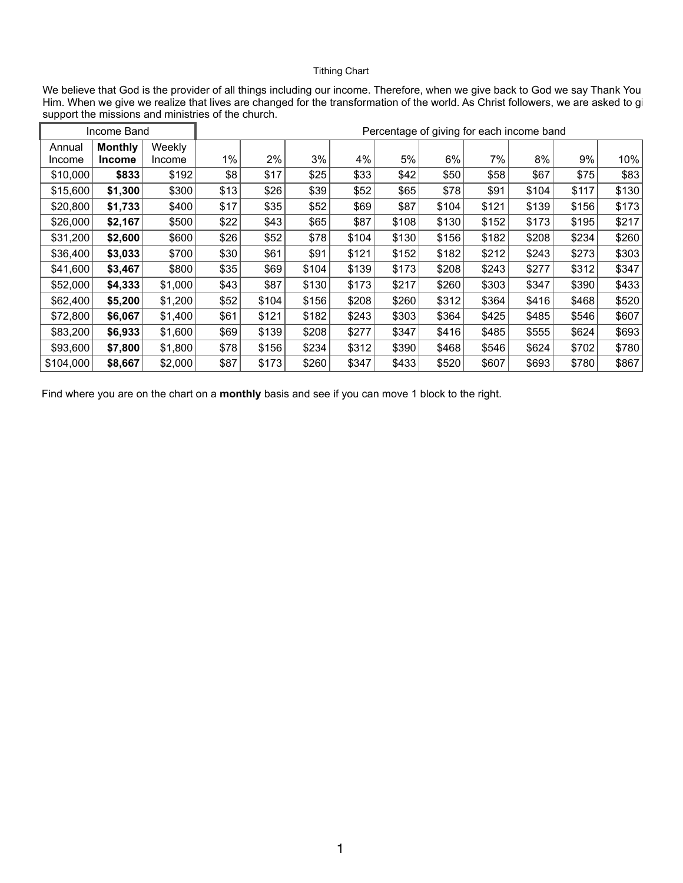## Tithing Chart

We believe that God is the provider of all things including our income. Therefore, when we give back to God we say Thank You Him. When we give we realize that lives are changed for the transformation of the world. As Christ followers, we are asked to gi support the missions and ministries of the church.

| Income Band |                |               | Percentage of giving for each income band |       |       |       |       |       |       |       |       |       |
|-------------|----------------|---------------|-------------------------------------------|-------|-------|-------|-------|-------|-------|-------|-------|-------|
| Annual      | <b>Monthly</b> | <b>Weekly</b> |                                           |       |       |       |       |       |       |       |       |       |
| Income      | <b>Income</b>  | <b>Income</b> | $1\%$                                     | $2\%$ | 3%    | 4%    | 5%    | 6%    | 7%    | 8%    | 9%    | 10%   |
| \$10,000    | \$833          | \$192         | \$8                                       | \$17  | \$25  | \$33  | \$42  | \$50  | \$58  | \$67  | \$75  | \$83  |
| \$15,600    | \$1,300        | \$300         | \$13                                      | \$26  | \$39  | \$52  | \$65  | \$78  | \$91  | \$104 | \$117 | \$130 |
| \$20,800    | \$1,733        | \$400         | \$17                                      | \$35  | \$52  | \$69  | \$87  | \$104 | \$121 | \$139 | \$156 | \$173 |
| \$26,000    | \$2,167        | \$500         | \$22                                      | \$43  | \$65  | \$87  | \$108 | \$130 | \$152 | \$173 | \$195 | \$217 |
| \$31,200    | \$2,600        | \$600         | \$26                                      | \$52  | \$78  | \$104 | \$130 | \$156 | \$182 | \$208 | \$234 | \$260 |
| \$36,400    | \$3,033        | \$700         | \$30                                      | \$61  | \$91  | \$121 | \$152 | \$182 | \$212 | \$243 | \$273 | \$303 |
| \$41,600    | \$3,467        | \$800         | \$35                                      | \$69  | \$104 | \$139 | \$173 | \$208 | \$243 | \$277 | \$312 | \$347 |
| \$52,000    | \$4,333        | \$1,000       | \$43                                      | \$87  | \$130 | \$173 | \$217 | \$260 | \$303 | \$347 | \$390 | \$433 |
| \$62,400    | \$5,200        | \$1,200       | \$52                                      | \$104 | \$156 | \$208 | \$260 | \$312 | \$364 | \$416 | \$468 | \$520 |
| \$72,800    | \$6,067        | \$1,400       | \$61                                      | \$121 | \$182 | \$243 | \$303 | \$364 | \$425 | \$485 | \$546 | \$607 |
| \$83,200    | \$6,933        | \$1,600       | \$69                                      | \$139 | \$208 | \$277 | \$347 | \$416 | \$485 | \$555 | \$624 | \$693 |
| \$93,600    | \$7,800        | \$1,800       | \$78                                      | \$156 | \$234 | \$312 | \$390 | \$468 | \$546 | \$624 | \$702 | \$780 |
| \$104,000   | \$8,667        | \$2,000       | \$87                                      | \$173 | \$260 | \$347 | \$433 | \$520 | \$607 | \$693 | \$780 | \$867 |

Find where you are on the chart on a **monthly** basis and see if you can move 1 block to the right.